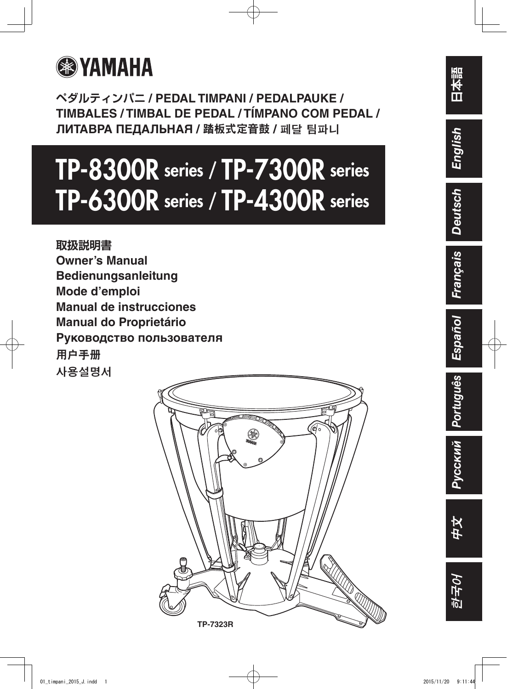

**ペダルティンパニ / PEDAL TIMPANI / PEDALPAUKE / TIMBALES / TIMBAL DE PEDAL / TÍMPANO COM PEDAL / ЛИТАВРА ПЕДАЛЬНАЯ /** 踏板式定音鼓 **/** 페달 팀파니

# TP-8300R series / TP-7300R series TP-6300R series / TP-4300R series

**取扱説明書 Owner's Manual Bedienungsanleitung Mode d'emploi Manual de instrucciones Manual do Proprietário Руководство пользователя** 用户手册 사용설명서



**日本語**

*English*

中文

한국어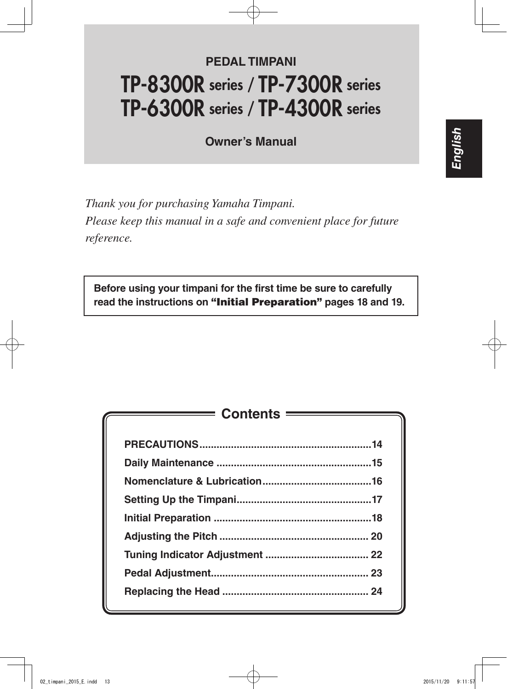# **PEDAL TIMPANI** TP-8300R series / TP-7300R series TP-6300R series / TP-4300R series

**Owner's Manual**

*Thank you for purchasing Yamaha Timpani. Please keep this manual in a safe and convenient place for future reference.*

**Before using your timpani for the first time be sure to carefully read the instructions on** "Initial Preparation" **pages 18 and 19.**

| $\qquad \qquad \qquad \textsf{Contents} \qquad \qquad \qquad$ |  |
|---------------------------------------------------------------|--|
|                                                               |  |
|                                                               |  |
|                                                               |  |
|                                                               |  |
|                                                               |  |
|                                                               |  |
|                                                               |  |
|                                                               |  |
|                                                               |  |
|                                                               |  |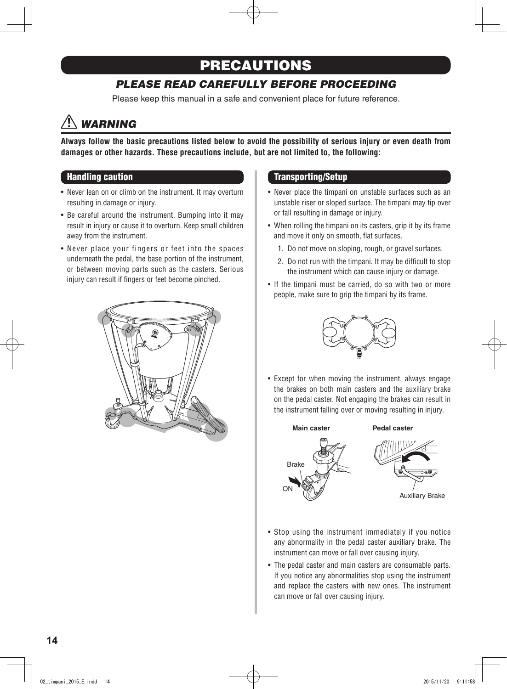## PRECAUTIONS

## *PLEASE READ CAREFULLY BEFORE PROCEEDING*

Please keep this manual in a safe and convenient place for future reference.

# *WARNING*

**Always follow the basic precautions listed below to avoid the possibility of serious injury or even death from damages or other hazards. These precautions include, but are not limited to, the following:**

#### Handling caution

- Never lean on or climb on the instrument. It may overturn resulting in damage or injury.
- Be careful around the instrument. Bumping into it may result in injury or cause it to overturn. Keep small children away from the instrument.
- Never place your fingers or feet into the spaces underneath the pedal, the base portion of the instrument, or between moving parts such as the casters. Serious injury can result if fingers or feet become pinched.



#### Transporting/Setup

- Never place the timpani on unstable surfaces such as an unstable riser or sloped surface. The timpani may tip over or fall resulting in damage or injury.
- When rolling the timpani on its casters, grip it by its frame and move it only on smooth, flat surfaces.
	- 1. Do not move on sloping, rough, or gravel surfaces.
	- 2. Do not run with the timpani. It may be difficult to stop the instrument which can cause injury or damage.
- If the timpani must be carried, do so with two or more people, make sure to grip the timpani by its frame.



• Except for when moving the instrument, always engage the brakes on both main casters and the auxiliary brake on the pedal caster. Not engaging the brakes can result in the instrument falling over or moving resulting in injury.



- Stop using the instrument immediately if you notice any abnormality in the pedal caster auxiliary brake. The instrument can move or fall over causing injury.
- The pedal caster and main casters are consumable parts. If you notice any abnormalities stop using the instrument and replace the casters with new ones. The instrument can move or fall over causing injury.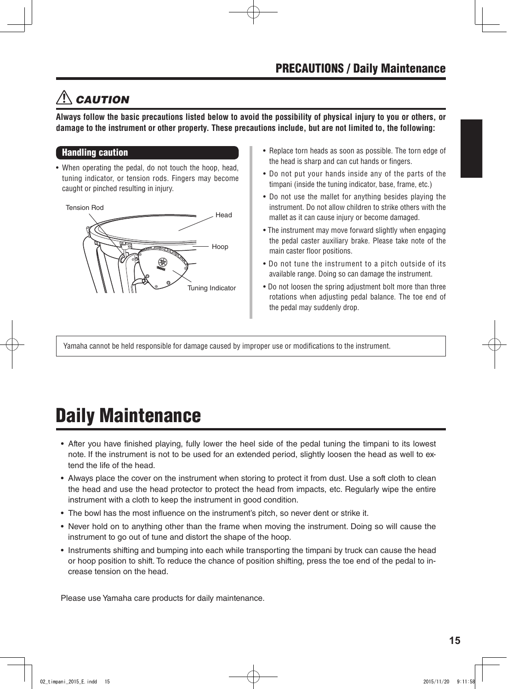# *CAUTION*

**Always follow the basic precautions listed below to avoid the possibility of physical injury to you or others, or damage to the instrument or other property. These precautions include, but are not limited to, the following:**

#### Handling caution

• When operating the pedal, do not touch the hoop, head, tuning indicator, or tension rods. Fingers may become caught or pinched resulting in injury.

Tension Rod



- Replace torn heads as soon as possible. The torn edge of the head is sharp and can cut hands or fingers.
- Do not put your hands inside any of the parts of the timpani (inside the tuning indicator, base, frame, etc.)
- Do not use the mallet for anything besides playing the instrument. Do not allow children to strike others with the mallet as it can cause injury or become damaged.
- The instrument may move forward slightly when engaging the pedal caster auxiliary brake. Please take note of the main caster floor positions.
- Do not tune the instrument to a pitch outside of its available range. Doing so can damage the instrument.
- Do not loosen the spring adjustment bolt more than three rotations when adjusting pedal balance. The toe end of the pedal may suddenly drop.

Yamaha cannot be held responsible for damage caused by improper use or modifications to the instrument.

# Daily Maintenance

- After you have finished playing, fully lower the heel side of the pedal tuning the timpani to its lowest note. If the instrument is not to be used for an extended period, slightly loosen the head as well to extend the life of the head.
- Always place the cover on the instrument when storing to protect it from dust. Use a soft cloth to clean the head and use the head protector to protect the head from impacts, etc. Regularly wipe the entire instrument with a cloth to keep the instrument in good condition.
- The bowl has the most influence on the instrument's pitch, so never dent or strike it.
- • Never hold on to anything other than the frame when moving the instrument. Doing so will cause the instrument to go out of tune and distort the shape of the hoop.
- Instruments shifting and bumping into each while transporting the timpani by truck can cause the head or hoop position to shift. To reduce the chance of position shifting, press the toe end of the pedal to increase tension on the head.

Please use Yamaha care products for daily maintenance.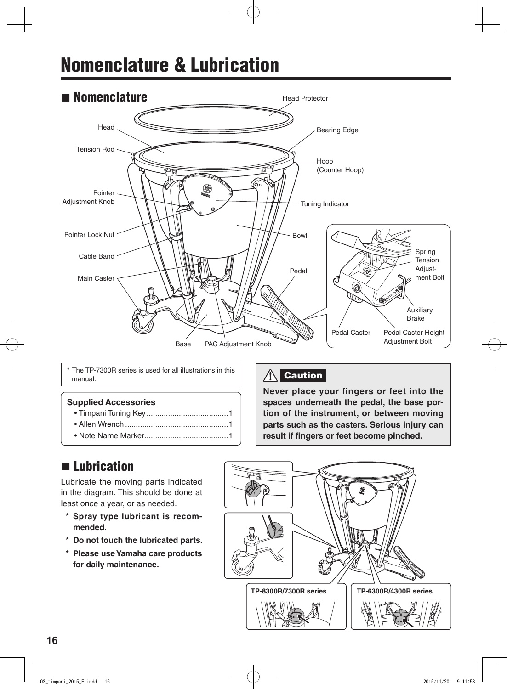# Nomenclature & Lubrication



The TP-7300R series is used for all illustrations in this  $\bigcup_{n=1}^{\infty}$  Caution manual.

#### **Supplied Accessories**

- Timpani Tuning Key......................................1
- Allen Wrench ................................................1
- Note Name Marker.......................................1

**Never place your fingers or feet into the spaces underneath the pedal, the base portion of the instrument, or between moving parts such as the casters. Serious injury can result if fingers or feet become pinched.**

## **n** Lubrication

Lubricate the moving parts indicated in the diagram. This should be done at least once a year, or as needed.

- **\* Spray type lubricant is recommended.**
- **\* Do not touch the lubricated parts.**
- **\* Please use Yamaha care products for daily maintenance.**

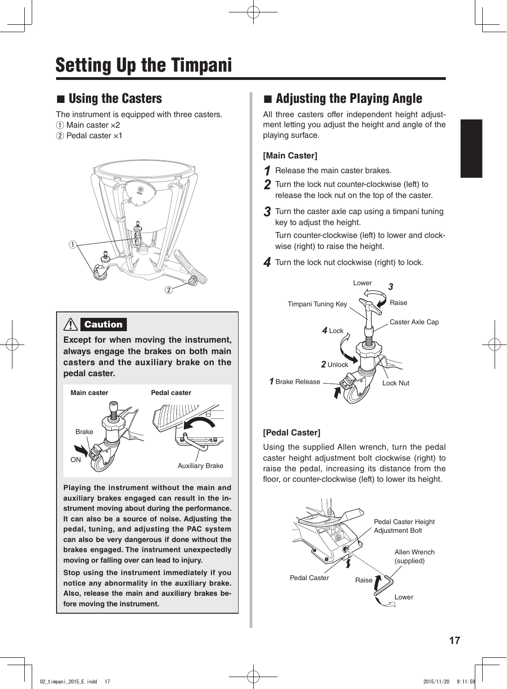# Setting Up the Timpani

## $\blacksquare$  Using the Casters

The instrument is equipped with three casters.

- $\Omega$  Main caster  $\times 2$
- $(2)$  Pedal caster  $\times 1$



## **A** Caution

**Except for when moving the instrument, always engage the brakes on both main casters and the auxiliary brake on the pedal caster.**



**Playing the instrument without the main and auxiliary brakes engaged can result in the instrument moving about during the performance. It can also be a source of noise. Adjusting the pedal, tuning, and adjusting the PAC system can also be very dangerous if done without the brakes engaged. The instrument unexpectedly moving or falling over can lead to injury.**

**Stop using the instrument immediately if you notice any abnormality in the auxiliary brake. Also, release the main and auxiliary brakes before moving the instrument.**

## $\blacksquare$  Adjusting the Playing Angle

All three casters offer independent height adjustment letting you adjust the height and angle of the playing surface.

### **[Main Caster]**

- *1* Release the main caster brakes.
- *2* Turn the lock nut counter-clockwise (left) to release the lock nut on the top of the caster.
- *3* Turn the caster axle cap using <sup>a</sup> timpani tuning key to adjust the height.

Turn counter-clockwise (left) to lower and clockwise (right) to raise the height.

**4** Turn the lock nut clockwise (right) to lock.



### **[Pedal Caster]**

Using the supplied Allen wrench, turn the pedal caster height adjustment bolt clockwise (right) to raise the pedal, increasing its distance from the floor, or counter-clockwise (left) to lower its height.

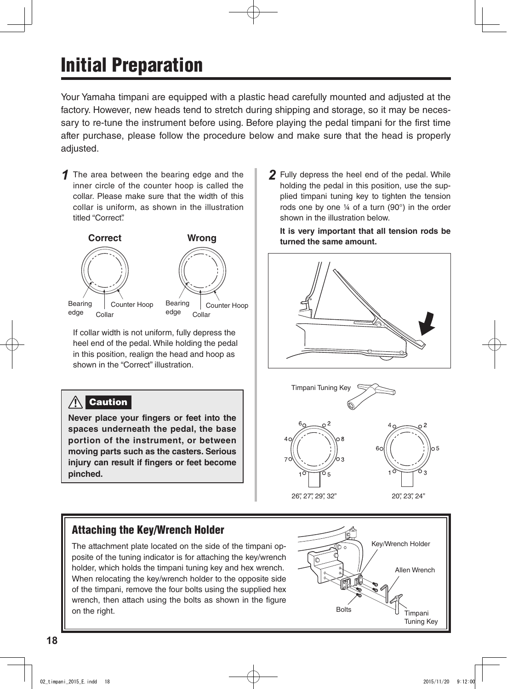# Initial Preparation

Your Yamaha timpani are equipped with a plastic head carefully mounted and adjusted at the factory. However, new heads tend to stretch during shipping and storage, so it may be necessary to re-tune the instrument before using. Before playing the pedal timpani for the first time after purchase, please follow the procedure below and make sure that the head is properly adjusted.

*1* The area between the bearing edge and the inner circle of the counter hoop is called the collar. Please make sure that the width of this collar is uniform, as shown in the illustration titled "Correct".



 If collar width is not uniform, fully depress the heel end of the pedal. While holding the pedal in this position, realign the head and hoop as shown in the "Correct" illustration.

#### $\bigwedge$ **Caution**

**Never place your fingers or feet into the spaces underneath the pedal, the base portion of the instrument, or between moving parts such as the casters. Serious injury can result if fingers or feet become pinched.**

Attaching the Key/Wrench Holder

The attachment plate located on the side of the timpani opposite of the tuning indicator is for attaching the key/wrench holder, which holds the timpani tuning key and hex wrench. When relocating the key/wrench holder to the opposite side of the timpani, remove the four bolts using the supplied hex wrench, then attach using the bolts as shown in the figure on the right.

*2* Fully depress the heel end of the pedal. While holding the pedal in this position, use the supplied timpani tuning key to tighten the tension rods one by one ¼ of a turn (90°) in the order shown in the illustration below.

**It is very important that all tension rods be turned the same amount.**





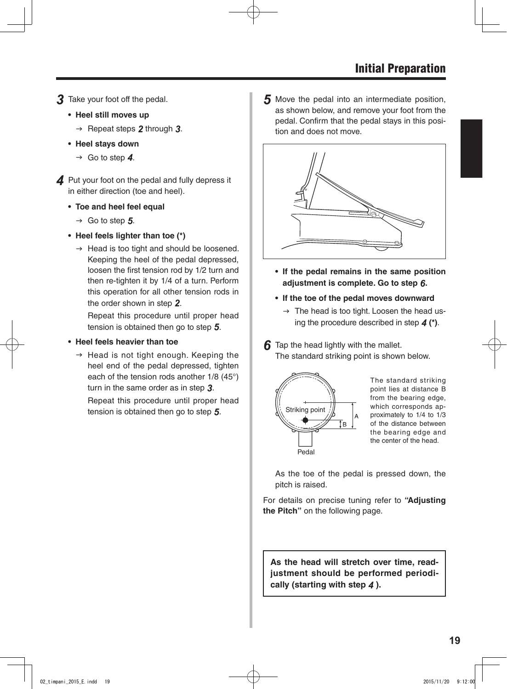- *3* Take your foot off the pedal.
	- **• Heel still moves up**
		- $\rightarrow$  Repeat steps **2** through **3**.
	- **• Heel stays down**
		- $\rightarrow$  Go to step 4.

**4** Put your foot on the pedal and fully depress it in either direction (toe and heel).

- **• Toe and heel feel equal**
	- $\rightarrow$  Go to step 5.
- **• Heel feels lighter than toe (\*)**
	- $\rightarrow$  Head is too tight and should be loosened. Keeping the heel of the pedal depressed, loosen the first tension rod by 1/2 turn and then re-tighten it by 1/4 of a turn. Perform this operation for all other tension rods in the order shown in step *2*.

 Repeat this procedure until proper head tension is obtained then go to step *5*.

- **• Heel feels heavier than toe**
	- $\rightarrow$  Head is not tight enough. Keeping the heel end of the pedal depressed, tighten each of the tension rods another 1/8 (45°) turn in the same order as in step *3*. Repeat this procedure until proper head

tension is obtained then go to step *5*.

*5* Move the pedal into an intermediate position, as shown below, and remove your foot from the pedal. Confirm that the pedal stays in this position and does not move.



- **• If the pedal remains in the same position adjustment is complete. Go to step** *6***.**
- **• If the toe of the pedal moves downward**
	- $\rightarrow$  The head is too tight. Loosen the head using the procedure described in step *4* **(\*)**.
- **6** Tap the head lightly with the mallet. The standard striking point is shown below.



The standard striking point lies at distance B from the bearing edge, which corresponds approximately to 1/4 to 1/3 of the distance between the bearing edge and the center of the head.

 As the toe of the pedal is pressed down, the pitch is raised.

For details on precise tuning refer to **"Adjusting the Pitch"** on the following page.

**As the head will stretch over time, readjustment should be performed periodically (starting with step** *4* **).**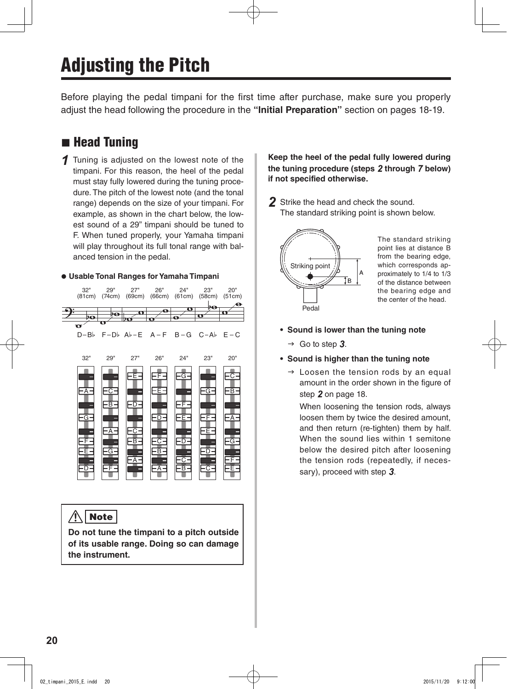# Adjusting the Pitch

Before playing the pedal timpani for the first time after purchase, make sure you properly adjust the head following the procedure in the **"Initial Preparation"** section on pages 18-19.

## **n** Head Tuning

*1* Tuning is adjusted on the lowest note of the timpani. For this reason, the heel of the pedal must stay fully lowered during the tuning procedure. The pitch of the lowest note (and the tonal range) depends on the size of your timpani. For example, as shown in the chart below, the lowest sound of a 29" timpani should be tuned to F. When tuned properly, your Yamaha timpani will play throughout its full tonal range with balanced tension in the pedal.



#### $\bigwedge$ Note

**Do not tune the timpani to a pitch outside of its usable range. Doing so can damage the instrument.**

**Keep the heel of the pedal fully lowered during the tuning procedure (steps** *2* **through** *7* **below) if not specified otherwise.**

*2* Strike the head and check the sound. The standard striking point is shown below.



The standard striking point lies at distance B from the bearing edge, which corresponds approximately to 1/4 to 1/3 of the distance between the bearing edge and the center of the head.

- **• Sound is lower than the tuning note**
	- $\rightarrow$  Go to step 3.
- **• Sound is higher than the tuning note**
	- $\rightarrow$  Loosen the tension rods by an equal amount in the order shown in the figure of step *2* on page 18.

 When loosening the tension rods, always loosen them by twice the desired amount, and then return (re-tighten) them by half. When the sound lies within 1 semitone below the desired pitch after loosening the tension rods (repeatedly, if necessary), proceed with step *3*.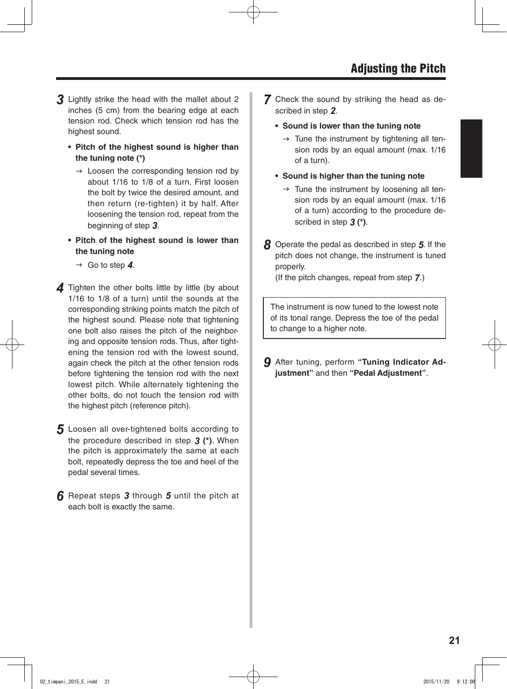- *3* Lightly strike the head with the mallet about <sup>2</sup> inches (5 cm) from the bearing edge at each tension rod. Check which tension rod has the highest sound.
	- **• Pitch of the highest sound is higher than the tuning note (\*)**
		- $\rightarrow$  Loosen the corresponding tension rod by about 1/16 to 1/8 of a turn. First loosen the bolt by twice the desired amount, and then return (re-tighten) it by half. After loosening the tension rod, repeat from the beginning of step *3*.
	- **• Pitch of the highest sound is lower than the tuning note**
		- $\rightarrow$  Go to step 4.
- **4** Tighten the other bolts little by little (by about 1/16 to 1/8 of a turn) until the sounds at the corresponding striking points match the pitch of the highest sound. Please note that tightening one bolt also raises the pitch of the neighboring and opposite tension rods. Thus, after tightening the tension rod with the lowest sound, again check the pitch at the other tension rods before tightening the tension rod with the next lowest pitch. While alternately tightening the other bolts, do not touch the tension rod with the highest pitch (reference pitch).
- 5 Loosen all over-tightened bolts according to the procedure described in step *3* **(\*)**. When the pitch is approximately the same at each bolt, repeatedly depress the toe and heel of the pedal several times.
- *6* Repeat steps *<sup>3</sup>* through *<sup>5</sup>* until the pitch at each bolt is exactly the same.
- *7* Check the sound by striking the head as described in step *2*.
	- **• Sound is lower than the tuning note**
		- $\rightarrow$  Tune the instrument by tightening all tension rods by an equal amount (max. 1/16 of a turn).
	- **• Sound is higher than the tuning note**
		- $\rightarrow$  Tune the instrument by loosening all tension rods by an equal amount (max. 1/16 of a turn) according to the procedure described in step *3* **(\*)**.
- *8* Operate the pedal as described in step *5*. If the pitch does not change, the instrument is tuned properly.

 (If the pitch changes, repeat from step *7*.)

The instrument is now tuned to the lowest note of its tonal range. Depress the toe of the pedal to change to a higher note.

*9* After tuning, perform **"Tuning Indicator Adjustment"** and then **"Pedal Adjustment"**.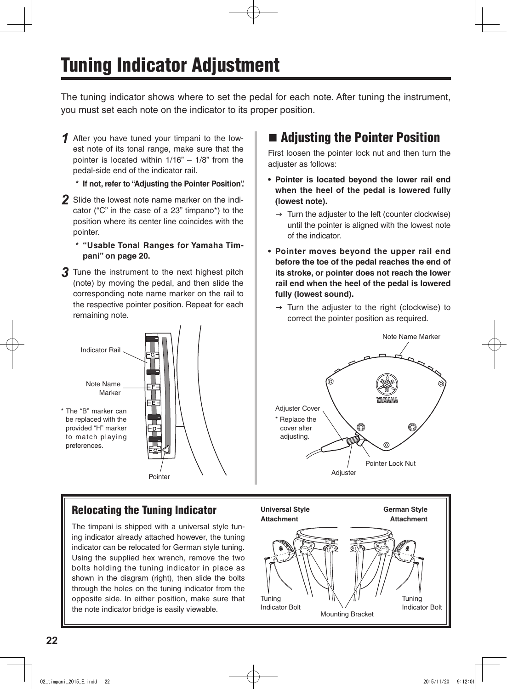# Tuning Indicator Adjustment

The tuning indicator shows where to set the pedal for each note. After tuning the instrument, you must set each note on the indicator to its proper position.

*1* After you have tuned your timpani to the lowest note of its tonal range, make sure that the pointer is located within 1/16" – 1/8" from the pedal-side end of the indicator rail.

**\* If not, refer to "Adjusting the Pointer Position".**

- *2* Slide the lowest note name marker on the indicator ("C" in the case of a 23" timpano\*) to the position where its center line coincides with the pointer.
	- **\* "Usable Tonal Ranges for Yamaha Timpani" on page 20.**
- **3** Tune the instrument to the next highest pitch (note) by moving the pedal, and then slide the corresponding note name marker on the rail to the respective pointer position. Repeat for each remaining note.



## Relocating the Tuning Indicator

The timpani is shipped with a universal style tuning indicator already attached however, the tuning indicator can be relocated for German style tuning. Using the supplied hex wrench, remove the two bolts holding the tuning indicator in place as shown in the diagram (right), then slide the bolts through the holes on the tuning indicator from the opposite side. In either position, make sure that the note indicator bridge is easily viewable.

## ■ Adjusting the Pointer Position

First loosen the pointer lock nut and then turn the adjuster as follows:

- **• Pointer is located beyond the lower rail end when the heel of the pedal is lowered fully (lowest note).**
	- $\rightarrow$  Turn the adjuster to the left (counter clockwise) until the pointer is aligned with the lowest note of the indicator.
- **• Pointer moves beyond the upper rail end before the toe of the pedal reaches the end of its stroke, or pointer does not reach the lower rail end when the heel of the pedal is lowered fully (lowest sound).**
	- $\rightarrow$  Turn the adjuster to the right (clockwise) to correct the pointer position as required.



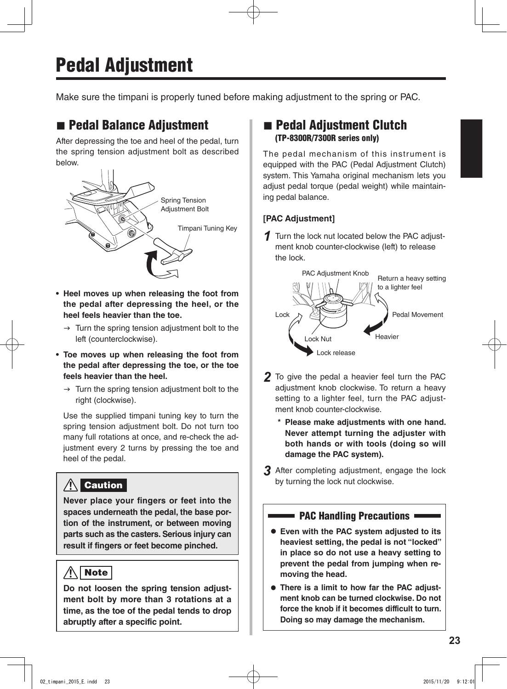# Pedal Adjustment

Make sure the timpani is properly tuned before making adjustment to the spring or PAC.

## ■ Pedal Balance Adjustment

After depressing the toe and heel of the pedal, turn the spring tension adjustment bolt as described below.



- **• Heel moves up when releasing the foot from the pedal after depressing the heel, or the heel feels heavier than the toe.**
	- $\rightarrow$  Turn the spring tension adjustment bolt to the left (counterclockwise).
- **• Toe moves up when releasing the foot from the pedal after depressing the toe, or the toe feels heavier than the heel.**
	- $\rightarrow$  Turn the spring tension adjustment bolt to the right (clockwise).

Use the supplied timpani tuning key to turn the spring tension adjustment bolt. Do not turn too many full rotations at once, and re-check the adjustment every 2 turns by pressing the toe and heel of the pedal.

#### $\bigwedge$ **Caution**

**Never place your fingers or feet into the spaces underneath the pedal, the base portion of the instrument, or between moving parts such as the casters. Serious injury can result if fingers or feet become pinched.**

#### $\bigwedge$ | Note |

**Do not loosen the spring tension adjustment bolt by more than 3 rotations at a time, as the toe of the pedal tends to drop abruptly after a specific point.**

## **n** Pedal Adjustment Clutch (TP-8300R/7300R series only)

The pedal mechanism of this instrument is equipped with the PAC (Pedal Adjustment Clutch) system. This Yamaha original mechanism lets you adjust pedal torque (pedal weight) while maintaining pedal balance.

### **[PAC Adjustment]**

*1* Turn the lock nut located below the PAC adjustment knob counter-clockwise (left) to release the lock.



- *2* To give the pedal <sup>a</sup> heavier feel turn the PAC adiustment knob clockwise. To return a heavy setting to a lighter feel, turn the PAC adjustment knob counter-clockwise.
	- **\* Please make adjustments with one hand. Never attempt turning the adjuster with both hands or with tools (doing so will damage the PAC system).**
- **3** After completing adjustment, engage the lock by turning the lock nut clockwise.

### PAC Handling Precautions

- $\bullet$  **Even with the PAC system adjusted to its heaviest setting, the pedal is not "locked" in place so do not use a heavy setting to prevent the pedal from jumping when removing the head.**
- **There is a limit to how far the PAC adjustment knob can be turned clockwise. Do not force the knob if it becomes difficult to turn. Doing so may damage the mechanism.**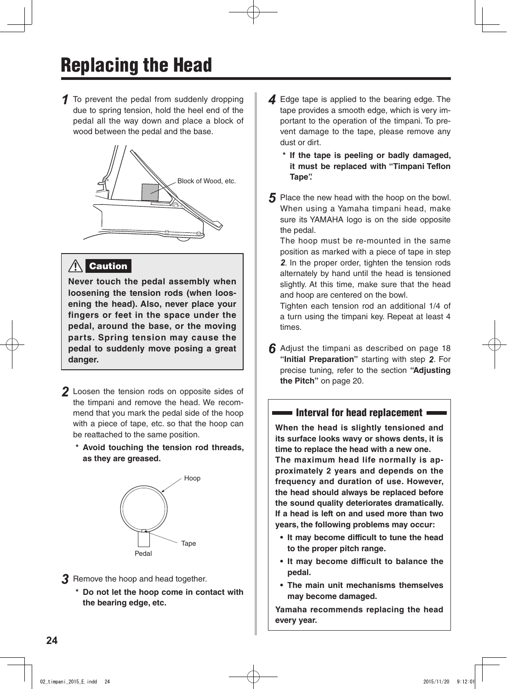*1* To prevent the pedal from suddenly dropping due to spring tension, hold the heel end of the pedal all the way down and place a block of wood between the pedal and the base.



## **Caution**

**Never touch the pedal assembly when loosening the tension rods (when loosening the head). Also, never place your fingers or feet in the space under the pedal, around the base, or the moving parts. Spring tension may cause the pedal to suddenly move posing a great danger.**

- *2* Loosen the tension rods on opposite sides of the timpani and remove the head. We recommend that you mark the pedal side of the hoop with a piece of tape, etc. so that the hoop can be reattached to the same position.
	- **\* Avoid touching the tension rod threads, as they are greased.**



- **3** Remove the hoop and head together.
	- **\* Do not let the hoop come in contact with the bearing edge, etc.**
- **4** Edge tape is applied to the bearing edge. The tape provides a smooth edge, which is very important to the operation of the timpani. To prevent damage to the tape, please remove any dust or dirt.
	- **\* If the tape is peeling or badly damaged, it must be replaced with "Timpani Teflon Tape".**
- **5** Place the new head with the hoop on the bowl. When using a Yamaha timpani head, make sure its YAMAHA logo is on the side opposite the pedal.

 The hoop must be re-mounted in the same position as marked with a piece of tape in step *2*. In the proper order, tighten the tension rods alternately by hand until the head is tensioned slightly. At this time, make sure that the head and hoop are centered on the bowl.

 Tighten each tension rod an additional 1/4 of a turn using the timpani key. Repeat at least 4 times.

**6** Adjust the timpani as described on page 18 **"Initial Preparation"** starting with step *2*. For precise tuning, refer to the section **"Adjusting the Pitch"** on page 20.

### $\blacksquare$  Interval for head replacement  $\blacksquare$

**When the head is slightly tensioned and its surface looks wavy or shows dents, it is time to replace the head with a new one. The maximum head life normally is approximately 2 years and depends on the frequency and duration of use. However, the head should always be replaced before the sound quality deteriorates dramatically. If a head is left on and used more than two years, the following problems may occur:**

- **• It may become difficult to tune the head to the proper pitch range.**
- **• It may become difficult to balance the pedal.**
- **• The main unit mechanisms themselves may become damaged.**

**Yamaha recommends replacing the head every year.**